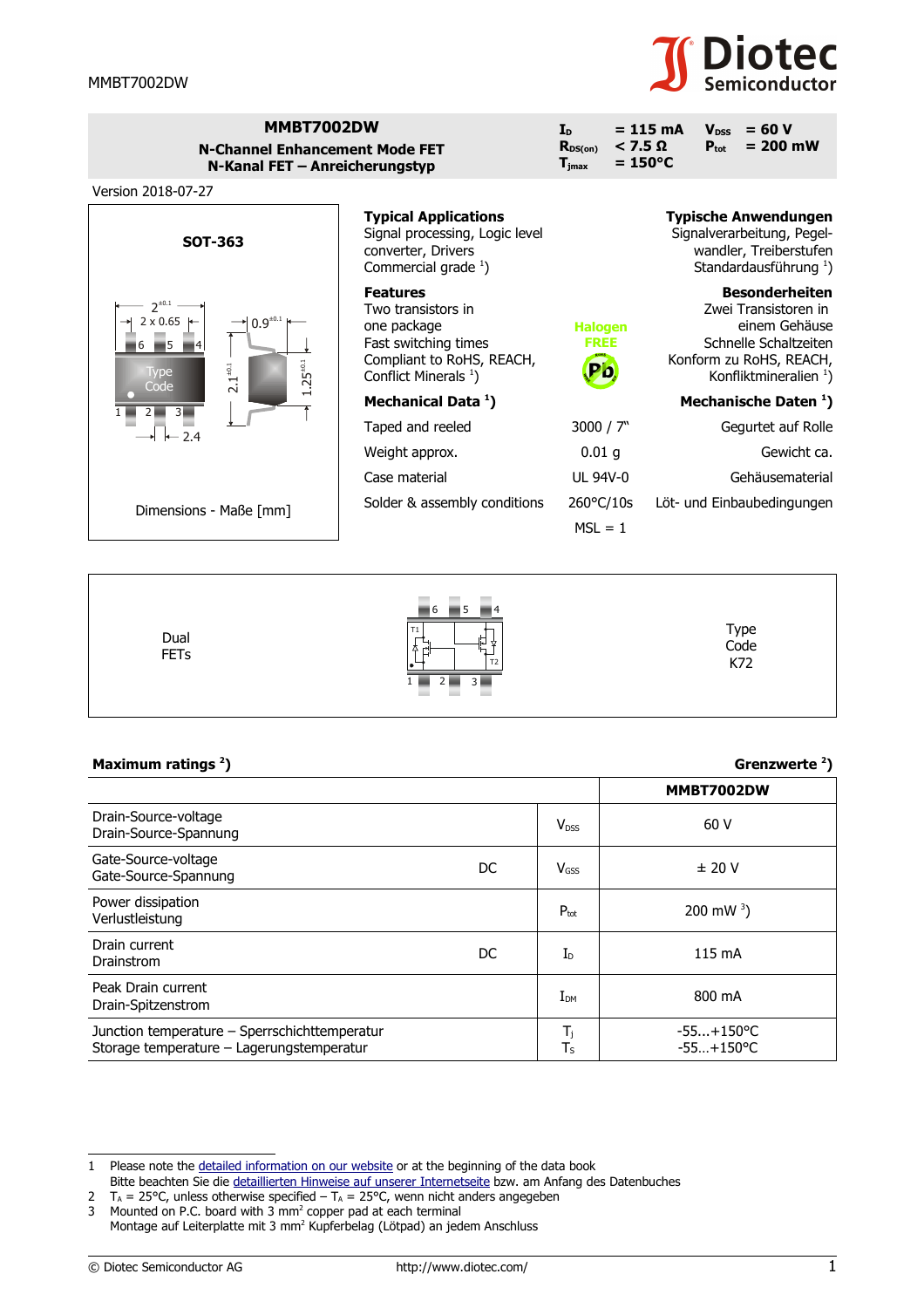

| MMBT7002DW<br><b>N-Channel Enhancement Mode FET</b><br>N-Kanal FET - Anreicherungstyp<br>Version 2018-07-27    |                                                                                                                                               | I <sub>D</sub><br>$<$ 7.5 $\Omega$<br>$R_{DS(on)}$<br>$\mathbf{T}_{\text{imax}}$ | $= 115 \text{ mA}$<br>$= 60 V$<br><b>V</b> <sub>pss</sub><br>$= 200$ mW<br>$P_{\rm tot}$<br>$= 150^{\circ}C$                                            |
|----------------------------------------------------------------------------------------------------------------|-----------------------------------------------------------------------------------------------------------------------------------------------|----------------------------------------------------------------------------------|---------------------------------------------------------------------------------------------------------------------------------------------------------|
| <b>SOT-363</b>                                                                                                 | <b>Typical Applications</b><br>Signal processing, Logic level<br>converter, Drivers<br>Commercial grade $1$ )                                 |                                                                                  | <b>Typische Anwendungen</b><br>Signalverarbeitung, Pegel-<br>wandler, Treiberstufen<br>Standardausführung <sup>1</sup> )                                |
| $2^{+0.1}$<br>$0.9^{\scriptscriptstyle \pm 0.1}$<br>$2 \times 0.65$  <br>$25^{+0.1}$<br>$2.1^{\pm0.1}$<br>Type | <b>Features</b><br>Two transistors in<br>one package<br>Fast switching times<br>Compliant to RoHS, REACH,<br>Conflict Minerals <sup>1</sup> ) | <b>Halogen</b><br><b>FREE</b><br>Pb                                              | <b>Besonderheiten</b><br>Zwei Transistoren in<br>einem Gehäuse<br>Schnelle Schaltzeiten<br>Konform zu RoHS, REACH,<br>Konfliktmineralien <sup>1</sup> ) |
| Code<br>$\overline{3}$                                                                                         | Mechanical Data <sup>1</sup> )                                                                                                                |                                                                                  | Mechanische Daten <sup>1</sup> )                                                                                                                        |
| $-2.4$                                                                                                         | Taped and reeled                                                                                                                              | 3000 / 7"                                                                        | Gegurtet auf Rolle                                                                                                                                      |
|                                                                                                                | Weight approx.                                                                                                                                | 0.01 <sub>g</sub>                                                                | Gewicht ca.                                                                                                                                             |
|                                                                                                                | Case material                                                                                                                                 | <b>UL 94V-0</b>                                                                  | Gehäusematerial                                                                                                                                         |
| Dimensions - Maße [mm]                                                                                         | Solder & assembly conditions                                                                                                                  | 260°C/10s<br>$MSL = 1$                                                           | Löt- und Einbaubedingungen                                                                                                                              |



| Maximum ratings <sup>2</sup> )                                                             |     |                               | Grenzwerte $2$ )             |  |
|--------------------------------------------------------------------------------------------|-----|-------------------------------|------------------------------|--|
|                                                                                            |     |                               | MMBT7002DW                   |  |
| Drain-Source-voltage<br>Drain-Source-Spannung                                              |     | $V_{DSS}$                     | 60 V                         |  |
| Gate-Source-voltage<br>Gate-Source-Spannung                                                | DC. | $V$ <sub>GSS</sub>            | ± 20 V                       |  |
| Power dissipation<br>Verlustleistung                                                       |     | $P_{\text{tot}}$              | 200 mW $^{3}$ )              |  |
| Drain current<br>Drainstrom                                                                | DC. | $I_{\text{D}}$                | 115 mA                       |  |
| Peak Drain current<br>Drain-Spitzenstrom                                                   |     | $I_{DM}$                      | 800 mA                       |  |
| Junction temperature - Sperrschichttemperatur<br>Storage temperature - Lagerungstemperatur |     | T,<br>$\mathsf{T}_\mathsf{S}$ | $-55+150$ °C<br>$-55+150$ °C |  |

<span id="page-0-0"></span><sup>1</sup> Please note the [detailed information on our website](http://diotec.com/en/products/all-products.html) or at the beginning of the data book

Bitte beachten Sie die [detaillierten Hinweise auf unserer Internetseite](http://diotec.com/de/produkte/uebersicht.html) bzw. am Anfang des Datenbuches

<span id="page-0-1"></span><sup>2</sup>  $T_A$  = 25°C, unless otherwise specified –  $T_A$  = 25°C, wenn nicht anders angegeben

<span id="page-0-2"></span><sup>3</sup> Mounted on P.C. board with 3  $mm<sup>2</sup>$  copper pad at each terminal

Montage auf Leiterplatte mit 3 mm<sup>2</sup> Kupferbelag (Lötpad) an jedem Anschluss